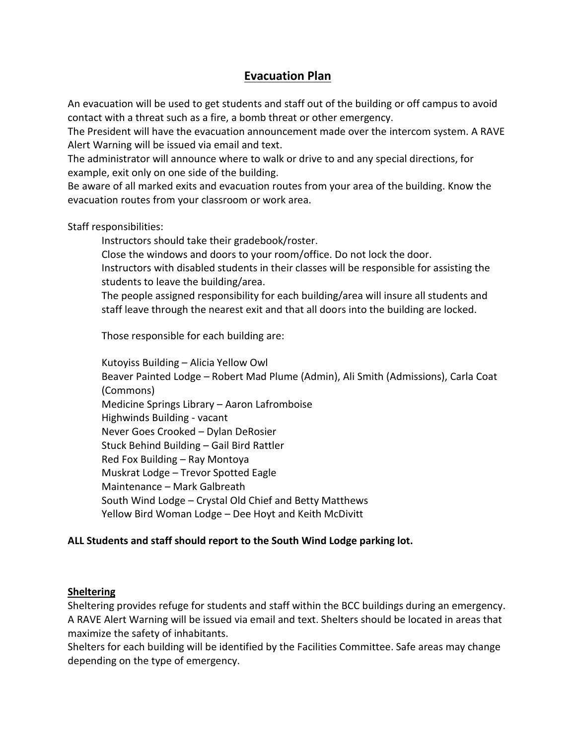## **Evacuation Plan**

An evacuation will be used to get students and staff out of the building or off campus to avoid contact with a threat such as a fire, a bomb threat or other emergency.

The President will have the evacuation announcement made over the intercom system. A RAVE Alert Warning will be issued via email and text.

The administrator will announce where to walk or drive to and any special directions, for example, exit only on one side of the building.

Be aware of all marked exits and evacuation routes from your area of the building. Know the evacuation routes from your classroom or work area.

Staff responsibilities:

Instructors should take their gradebook/roster.

Close the windows and doors to your room/office. Do not lock the door. Instructors with disabled students in their classes will be responsible for assisting the

students to leave the building/area.

The people assigned responsibility for each building/area will insure all students and staff leave through the nearest exit and that all doors into the building are locked.

Those responsible for each building are:

Kutoyiss Building – Alicia Yellow Owl Beaver Painted Lodge – Robert Mad Plume (Admin), Ali Smith (Admissions), Carla Coat (Commons) Medicine Springs Library – Aaron Lafromboise Highwinds Building - vacant Never Goes Crooked – Dylan DeRosier Stuck Behind Building – Gail Bird Rattler Red Fox Building – Ray Montoya Muskrat Lodge – Trevor Spotted Eagle Maintenance – Mark Galbreath South Wind Lodge – Crystal Old Chief and Betty Matthews Yellow Bird Woman Lodge – Dee Hoyt and Keith McDivitt

## **ALL Students and staff should report to the South Wind Lodge parking lot.**

## **Sheltering**

Sheltering provides refuge for students and staff within the BCC buildings during an emergency. A RAVE Alert Warning will be issued via email and text. Shelters should be located in areas that maximize the safety of inhabitants.

Shelters for each building will be identified by the Facilities Committee. Safe areas may change depending on the type of emergency.